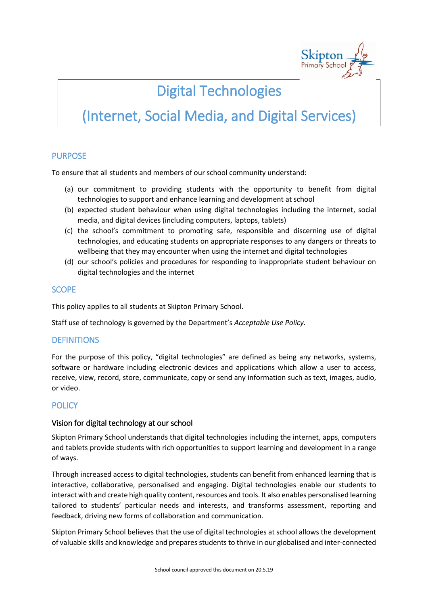

## Digital Technologies

# (Internet, Social Media, and Digital Services)

## PURPOSE

To ensure that all students and members of our school community understand:

- (a) our commitment to providing students with the opportunity to benefit from digital technologies to support and enhance learning and development at school
- (b) expected student behaviour when using digital technologies including the internet, social media, and digital devices (including computers, laptops, tablets)
- (c) the school's commitment to promoting safe, responsible and discerning use of digital technologies, and educating students on appropriate responses to any dangers or threats to wellbeing that they may encounter when using the internet and digital technologies
- (d) our school's policies and procedures for responding to inappropriate student behaviour on digital technologies and the internet

#### **SCOPE**

This policy applies to all students at Skipton Primary School.

Staff use of technology is governed by the Department's *Acceptable Use Policy.*

#### **DEFINITIONS**

For the purpose of this policy, "digital technologies" are defined as being any networks, systems, software or hardware including electronic devices and applications which allow a user to access, receive, view, record, store, communicate, copy or send any information such as text, images, audio, or video.

## **POLICY**

#### Vision for digital technology at our school

Skipton Primary School understands that digital technologies including the internet, apps, computers and tablets provide students with rich opportunities to support learning and development in a range of ways.

Through increased access to digital technologies, students can benefit from enhanced learning that is interactive, collaborative, personalised and engaging. Digital technologies enable our students to interact with and create high quality content, resources and tools. It also enables personalised learning tailored to students' particular needs and interests, and transforms assessment, reporting and feedback, driving new forms of collaboration and communication.

Skipton Primary School believes that the use of digital technologies at school allows the development of valuable skills and knowledge and prepares students to thrive in our globalised and inter-connected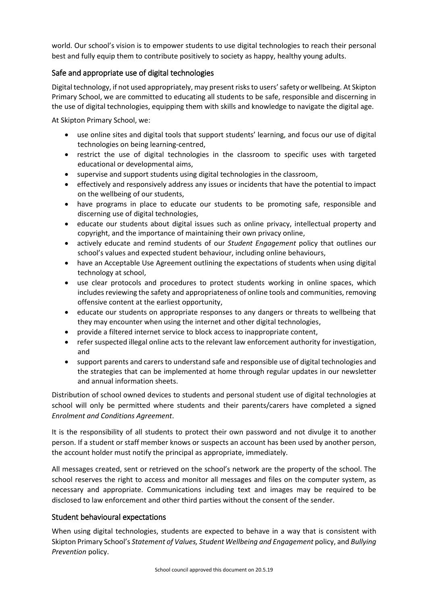world. Our school's vision is to empower students to use digital technologies to reach their personal best and fully equip them to contribute positively to society as happy, healthy young adults.

## Safe and appropriate use of digital technologies

Digital technology, if not used appropriately, may present risks to users' safety or wellbeing. At Skipton Primary School, we are committed to educating all students to be safe, responsible and discerning in the use of digital technologies, equipping them with skills and knowledge to navigate the digital age.

At Skipton Primary School, we:

- use online sites and digital tools that support students' learning, and focus our use of digital technologies on being learning-centred,
- restrict the use of digital technologies in the classroom to specific uses with targeted educational or developmental aims,
- supervise and support students using digital technologies in the classroom,
- effectively and responsively address any issues or incidents that have the potential to impact on the wellbeing of our students,
- have programs in place to educate our students to be promoting safe, responsible and discerning use of digital technologies,
- educate our students about digital issues such as online privacy, intellectual property and copyright, and the importance of maintaining their own privacy online,
- actively educate and remind students of our *Student Engagement* policy that outlines our school's values and expected student behaviour, including online behaviours,
- have an Acceptable Use Agreement outlining the expectations of students when using digital technology at school,
- use clear protocols and procedures to protect students working in online spaces, which includes reviewing the safety and appropriateness of online tools and communities, removing offensive content at the earliest opportunity,
- educate our students on appropriate responses to any dangers or threats to wellbeing that they may encounter when using the internet and other digital technologies,
- provide a filtered internet service to block access to inappropriate content,
- refer suspected illegal online acts to the relevant law enforcement authority for investigation, and
- support parents and carers to understand safe and responsible use of digital technologies and the strategies that can be implemented at home through regular updates in our newsletter and annual information sheets.

Distribution of school owned devices to students and personal student use of digital technologies at school will only be permitted where students and their parents/carers have completed a signed *Enrolment and Conditions Agreement*.

It is the responsibility of all students to protect their own password and not divulge it to another person. If a student or staff member knows or suspects an account has been used by another person, the account holder must notify the principal as appropriate, immediately.

All messages created, sent or retrieved on the school's network are the property of the school. The school reserves the right to access and monitor all messages and files on the computer system, as necessary and appropriate. Communications including text and images may be required to be disclosed to law enforcement and other third parties without the consent of the sender.

#### Student behavioural expectations

When using digital technologies, students are expected to behave in a way that is consistent with Skipton Primary School's *Statement of Values, Student Wellbeing and Engagement* policy, and *Bullying Prevention* policy.